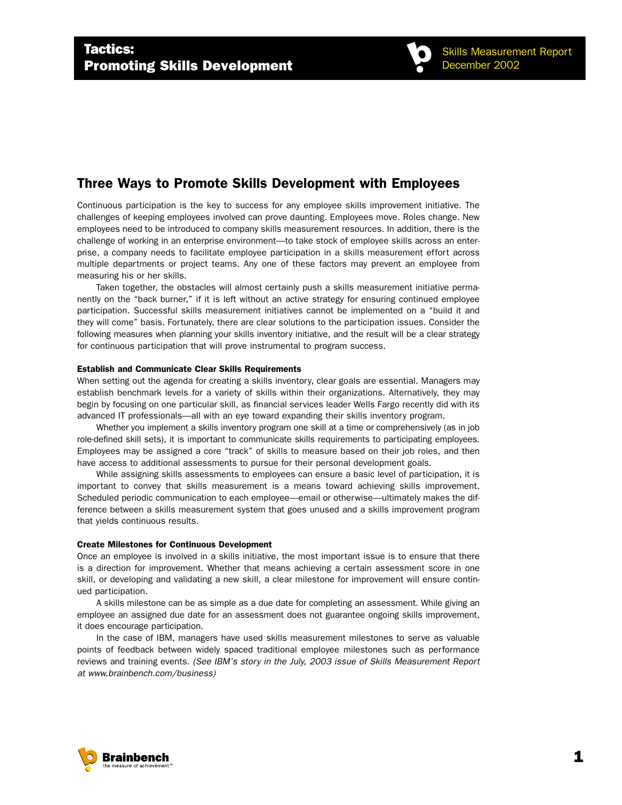

## Three Ways to Promote Skills Development with Employees

Continuous participation is the key to success for any employee skills improvement initiative. The challenges of keeping employees involved can prove daunting. Employees move. Roles change. New employees need to be introduced to company skills measurement resources. In addition, there is the challenge of working in an enterprise environment—to take stock of employee skills across an enterprise, a company needs to facilitate employee participation in a skills measurement effort across multiple departments or project teams. Any one of these factors may prevent an employee from measuring his or her skills.

Taken together, the obstacles will almost certainly push a skills measurement initiative permanently on the "back burner," if it is left without an active strategy for ensuring continued employee participation. Successful skills measurement initiatives cannot be implemented on a "build it and they will come" basis. Fortunately, there are clear solutions to the participation issues. Consider the following measures when planning your skills inventory initiative, and the result will be a clear strategy for continuous participation that will prove instrumental to program success.

## Establish and Communicate Clear Skills Requirements

When setting out the agenda for creating a skills inventory, clear goals are essential. Managers may establish benchmark levels for a variety of skills within their organizations. Alternatively, they may begin by focusing on one particular skill, as financial services leader Wells Fargo recently did with its advanced IT professionals—all with an eye toward expanding their skills inventory program.

Whether you implement a skills inventory program one skill at a time or comprehensively (as in job role-defined skill sets), it is important to communicate skills requirements to participating employees. Employees may be assigned a core "track" of skills to measure based on their job roles, and then have access to additional assessments to pursue for their personal development goals.

While assigning skills assessments to employees can ensure a basic level of participation, it is important to convey that skills measurement is a means toward achieving skills improvement. Scheduled periodic communication to each employee—email or otherwise—ultimately makes the difference between a skills measurement system that goes unused and a skills improvement program that yields continuous results.

## Create Milestones for Continuous Development

Once an employee is involved in a skills initiative, the most important issue is to ensure that there is a direction for improvement. Whether that means achieving a certain assessment score in one skill, or developing and validating a new skill, a clear milestone for improvement will ensure continued participation.

A skills milestone can be as simple as a due date for completing an assessment. While giving an employee an assigned due date for an assessment does not guarantee ongoing skills improvement, it does encourage participation.

In the case of IBM, managers have used skills measurement milestones to serve as valuable points of feedback between widely spaced traditional employee milestones such as performance reviews and training events. *(See IBM's story in the July, 2003 issue of Skills Measurement Report at www.brainbench.com/business)*